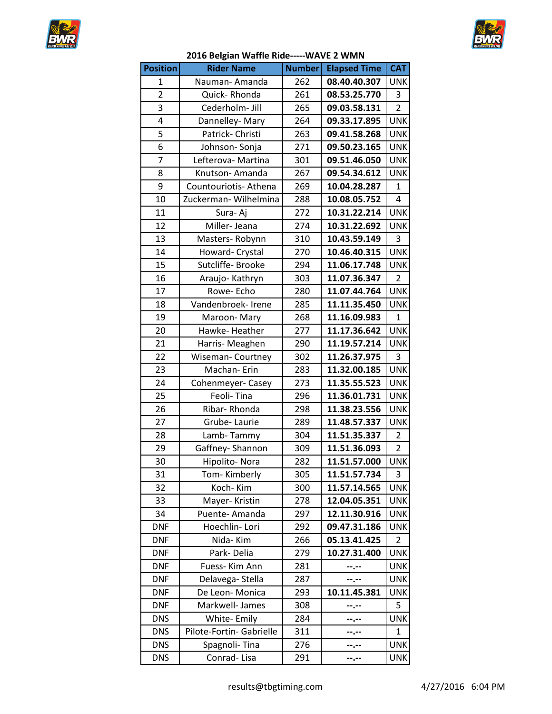



## **2016 Belgian Waffle Ride-----WAVE 2 WMN**

| <b>Position</b> | <b>Rider Name</b>        | <b>Number</b> | <b>Elapsed Time</b> | <b>CAT</b>     |
|-----------------|--------------------------|---------------|---------------------|----------------|
| 1               | Nauman-Amanda            | 262           | 08.40.40.307        | <b>UNK</b>     |
| $\overline{2}$  | Quick-Rhonda             | 261           | 08.53.25.770        | 3              |
| 3               | Cederholm- Jill          | 265           | 09.03.58.131        | $\overline{2}$ |
| 4               | Dannelley-Mary           | 264           | 09.33.17.895        | <b>UNK</b>     |
| 5               | Patrick-Christi          | 263           | 09.41.58.268        | <b>UNK</b>     |
| 6               | Johnson-Sonja            | 271           | 09.50.23.165        | <b>UNK</b>     |
| 7               | Lefterova- Martina       | 301           | 09.51.46.050        | <b>UNK</b>     |
| 8               | Knutson-Amanda           | 267           | 09.54.34.612        | <b>UNK</b>     |
| 9               | Countouriotis-Athena     | 269           | 10.04.28.287        | $\mathbf{1}$   |
| 10              | Zuckerman-Wilhelmina     | 288           | 10.08.05.752        | $\overline{4}$ |
| 11              | Sura-Aj                  | 272           | 10.31.22.214        | <b>UNK</b>     |
| 12              | Miller-Jeana             | 274           | 10.31.22.692        | <b>UNK</b>     |
| 13              | Masters-Robynn           | 310           | 10.43.59.149        | 3              |
| 14              | Howard- Crystal          | 270           | 10.46.40.315        | <b>UNK</b>     |
| 15              | Sutcliffe- Brooke        | 294           | 11.06.17.748        | <b>UNK</b>     |
| 16              | Araujo-Kathryn           | 303           | 11.07.36.347        | $\overline{2}$ |
| 17              | Rowe-Echo                | 280           | 11.07.44.764        | <b>UNK</b>     |
| 18              | Vandenbroek- Irene       | 285           | 11.11.35.450        | <b>UNK</b>     |
| 19              | Maroon-Mary              | 268           | 11.16.09.983        | $\mathbf{1}$   |
| 20              | Hawke-Heather            | 277           | 11.17.36.642        | <b>UNK</b>     |
| 21              | Harris-Meaghen           | 290           | 11.19.57.214        | <b>UNK</b>     |
| 22              | Wiseman-Courtney         | 302           | 11.26.37.975        | 3              |
| 23              | Machan-Erin              | 283           | 11.32.00.185        | <b>UNK</b>     |
| 24              | Cohenmeyer-Casey         | 273           | 11.35.55.523        | <b>UNK</b>     |
| 25              | Feoli-Tina               | 296           | 11.36.01.731        | <b>UNK</b>     |
| 26              | Ribar-Rhonda             | 298           | 11.38.23.556        | <b>UNK</b>     |
| 27              | Grube-Laurie             | 289           | 11.48.57.337        | <b>UNK</b>     |
| 28              | Lamb-Tammy               | 304           | 11.51.35.337        | $\overline{2}$ |
| 29              | Gaffney-Shannon          | 309           | 11.51.36.093        | $\overline{2}$ |
| 30              | Hipolito-Nora            | 282           | 11.51.57.000        | <b>UNK</b>     |
| 31              | Tom-Kimberly             | 305           | 11.51.57.734        | 3              |
| 32              | Koch-Kim                 | 300           | 11.57.14.565        | <b>UNK</b>     |
| 33              | Mayer-Kristin            | 278           | 12.04.05.351        | <b>UNK</b>     |
| 34              | Puente-Amanda            | 297           | 12.11.30.916        | <b>UNK</b>     |
| <b>DNF</b>      | Hoechlin-Lori            | 292           | 09.47.31.186        | UNK            |
| <b>DNF</b>      | Nida-Kim                 | 266           | 05.13.41.425        | $\overline{2}$ |
| <b>DNF</b>      | Park-Delia               | 279           | 10.27.31.400        | <b>UNK</b>     |
| <b>DNF</b>      | Fuess- Kim Ann           | 281           |                     | <b>UNK</b>     |
| <b>DNF</b>      | Delavega-Stella          | 287           | --.--               | <b>UNK</b>     |
| <b>DNF</b>      | De Leon-Monica           | 293           | 10.11.45.381        | <b>UNK</b>     |
| <b>DNF</b>      | Markwell- James          | 308           | --.--               | 5              |
| <b>DNS</b>      | White-Emily              | 284           |                     | <b>UNK</b>     |
| <b>DNS</b>      | Pilote-Fortin- Gabrielle | 311           |                     | $\mathbf{1}$   |
| <b>DNS</b>      | Spagnoli-Tina            | 276           |                     | <b>UNK</b>     |
| <b>DNS</b>      | Conrad-Lisa              | 291           | --.--               | <b>UNK</b>     |